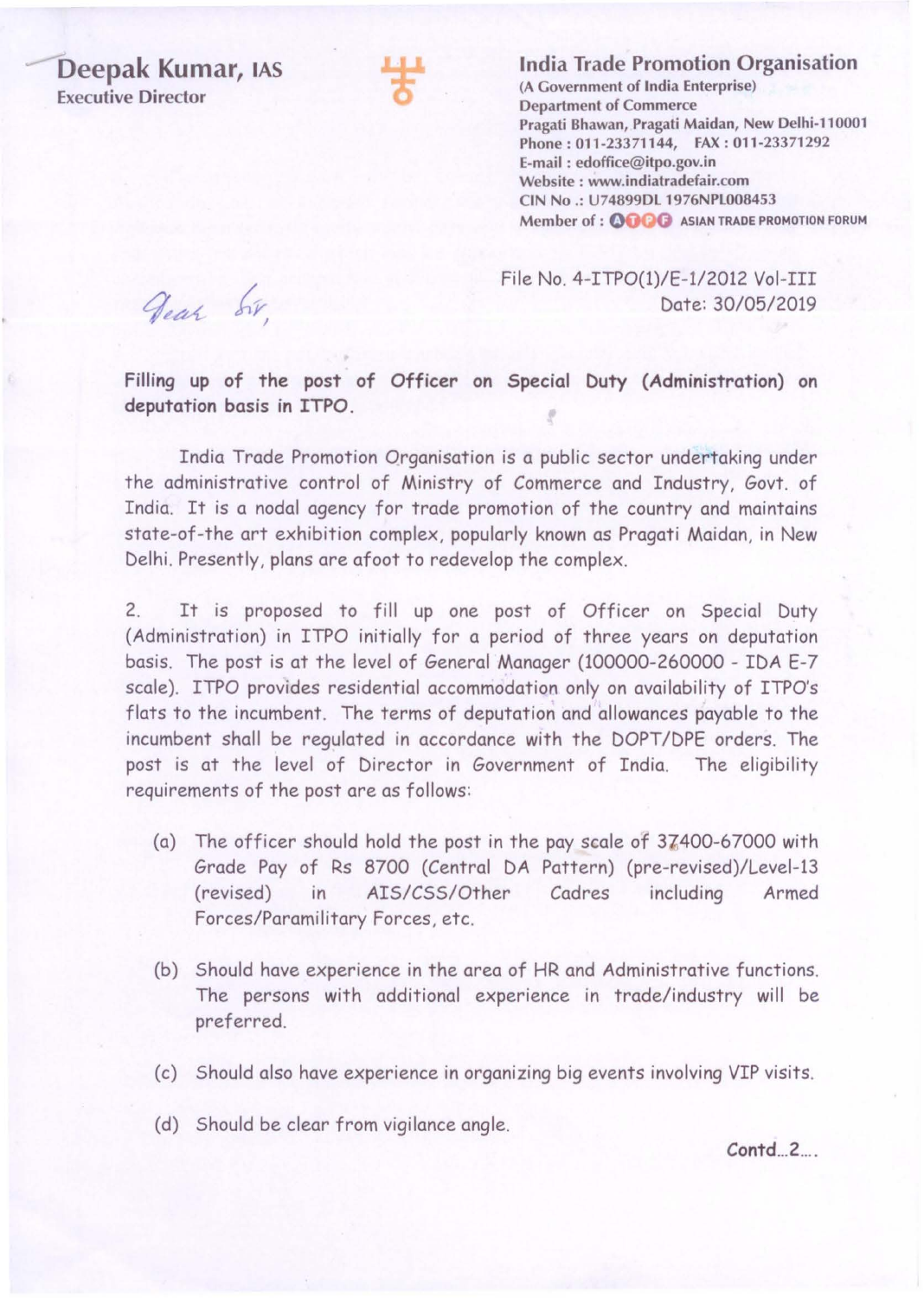Deepak Kumar, IAS Executive Director



India Trade Promotion Organisation

(A Government of India Enterprise) Department of Commerce Pragati Bhawan, Pragati Maidan, New Delhi-11 0001 Phone : 011 -233 71144, FAX : 011-23371292 E-mail : edoffice@itpo.gov.in Website : www.indiatradefair.com CIN No .: U74899Dl 1976NPL008453 Member of : **0000** ASIAN TRADE PROMOTION FORUM

Jear Sir,

File No. 4-ITP0(1)/E-1/2012 Voi-III Date: 30/05/2019

Filling up of the post of Officer on Special Duty (Administration) on deputation basis in ITPO.

India Trade Promotion Organisation is a public sector undertaking under the administrative control of Ministry of Commerce and Industry, Govt. of India. It is a nodal agency for trade promotion of the country and maintains state-of-the art exhibition complex, popularly known as Pragati Maidan, in New Delhi. Presently, plans are afoot to redevelop the complex.

2. It is proposed to fill up one post of Officer on Special Duty (Administration) in ITPO initially for a period of three years on deputation basis. The post is at the level of General Manager (100000- 260000 - IDA E-7 scale). ITPO provides residential accommodation only on availability of ITPO's flats to the incumbent. The terms of deputation and allowances payable to the incumbent shall be regulated in accordance with the DOPT/DPE orders. The post is at the level of Director in Government of India. The eligibility requirements of the post are as follows:

- (a) The officer should hold the post in the pay scale of 37400-67000 with Grade Pay of Rs 8700 (Central DA Pattern) (pre-revised)/Level-13 (revised) in AIS/CSS/Other Cadres including Armed Forces/Paramilitary Forces, etc.
- (b) Should have experience in the area of HR and Administrative functions. The persons with additional experience in trade/industry will be preferred.
- (c) Should also have experience in organizing big events involving VIP visits.
- (d) Should be clear from vigilance angle.

 $Contd_{...}2...$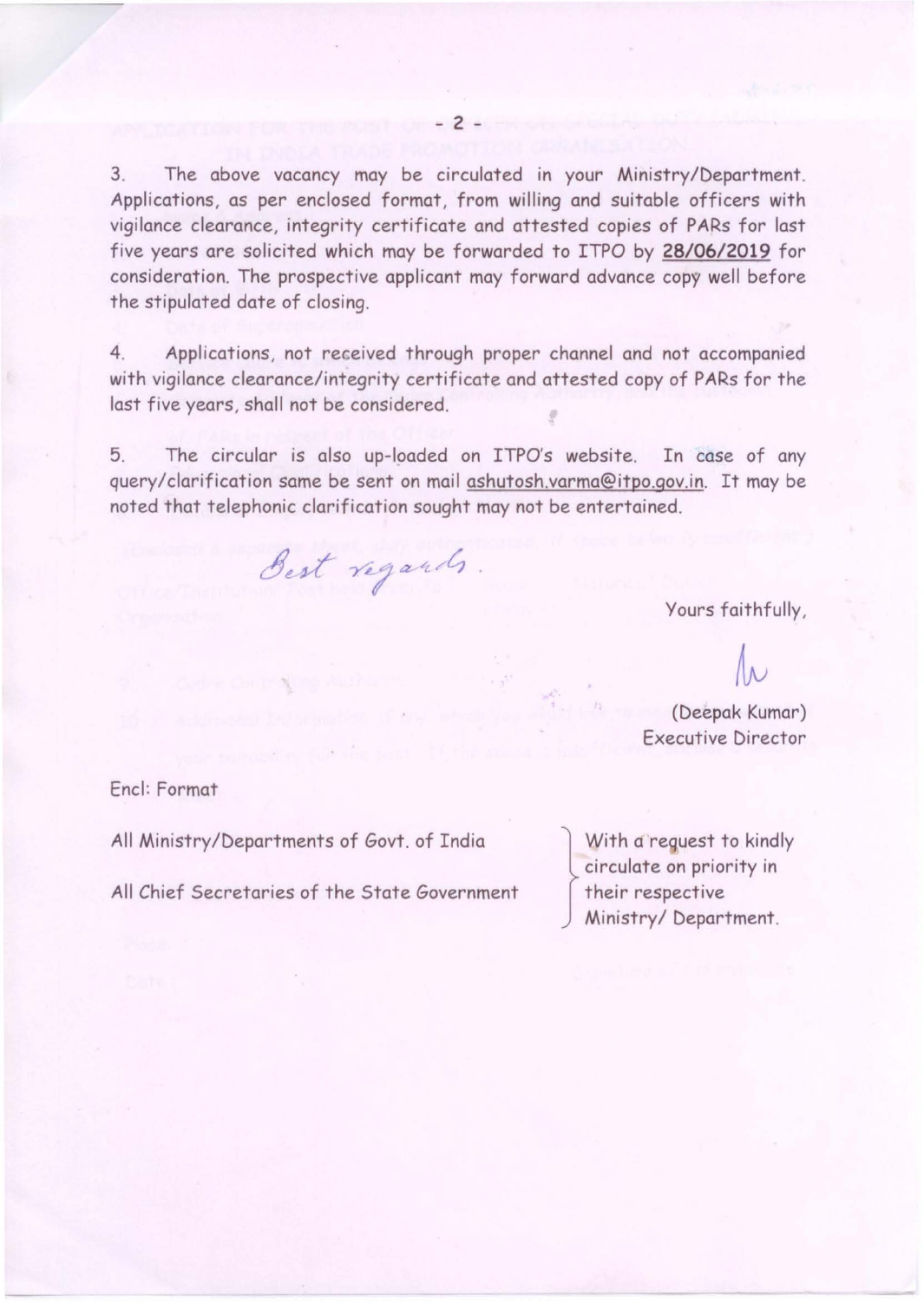3. The above vacancy may be circulated in your Ministry/Department. Applications, as per enclosed format, from willing and suitable officers with vigilance clearance, integrity certificate and attested copies of PARs for last five years are solicited which may be forwarded to ITPO by **28/06/2019** for consideration. The prospective applicant may forward advance copy well before the stipulated date of closing.

4. Applications, not received through proper channel and not accompanied with vigilance clearance/integrity certificate and attested copy of PARs for the last five years, shall not be considered.

5. The circular is also up-loaded on ITPO's website. In case of any query/clarification same be sent on mail ashutosh.varma@itpo.gov.in. It may be noted that telephonic clarification sought may not be entertained.

Best regards.

Yours faithfully,

(Deepak Kumar) Executive Director

Encl: Format

All Ministry/Departments of Govt. of India

All Chief Secretaries of the State Government

With a reguest to kindly circulate on priority in their respective Ministry/ Department.